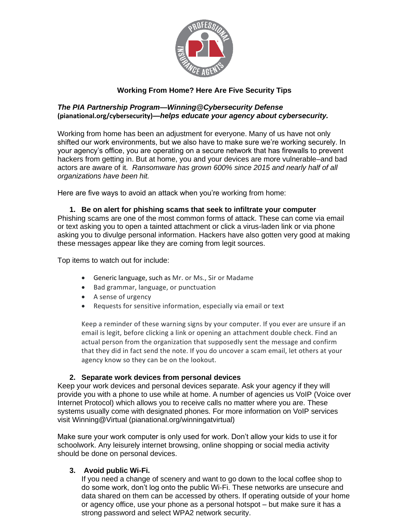

# **Working From Home? Here Are Five Security Tips**

### *The PIA Partnership Program—Winning@Cybersecurity Defense*  **(pianational.org/cybersecurity)***—helps educate your agency about cybersecurity.*

Working from home has been an adjustment for everyone. Many of us have not only shifted our work environments, but we also have to make sure we're working securely. In your agency's office, you are operating on a secure network that has firewalls to prevent hackers from getting in. But at home, you and your devices are more vulnerable–and bad actors are aware of it. *Ransomware has grown 600% since 2015 and nearly half of all organizations have been hit.* 

Here are five ways to avoid an attack when you're working from home:

#### **1. Be on alert for phishing scams that seek to infiltrate your computer**  Phishing scams are one of the most common forms of attack. These can come via email or text asking you to open a tainted attachment or click a virus-laden link or via phone asking you to divulge personal information. Hackers have also gotten very good at making these messages appear like they are coming from legit sources.

Top items to watch out for include:

- Generic language, such as Mr. or Ms., Sir or Madame
- Bad grammar, language, or punctuation
- A sense of urgency
- Requests for sensitive information, especially via email or text

Keep a reminder of these warning signs by your computer. If you ever are unsure if an email is legit, before clicking a link or opening an attachment double check. Find an actual person from the organization that supposedly sent the message and confirm that they did in fact send the note. If you do uncover a scam email, let others at your agency know so they can be on the lookout.

## **2. Separate work devices from personal devices**

Keep your work devices and personal devices separate. Ask your agency if they will provide you with a phone to use while at home. A number of agencies us VoIP (Voice over Internet Protocol) which allows you to receive calls no matter where you are. These systems usually come with designated phones. For more information on VoIP services visit Winning@Virtual (pianational.org/winningatvirtual)

Make sure your work computer is only used for work. Don't allow your kids to use it for schoolwork. Any leisurely internet browsing, online shopping or social media activity should be done on personal devices.

## **3. Avoid public Wi-Fi.**

If you need a change of scenery and want to go down to the local coffee shop to do some work, don't log onto the public Wi-Fi. These networks are unsecure and data shared on them can be accessed by others. If operating outside of your home or agency office, use your phone as a personal hotspot – but make sure it has a strong password and select WPA2 network security.